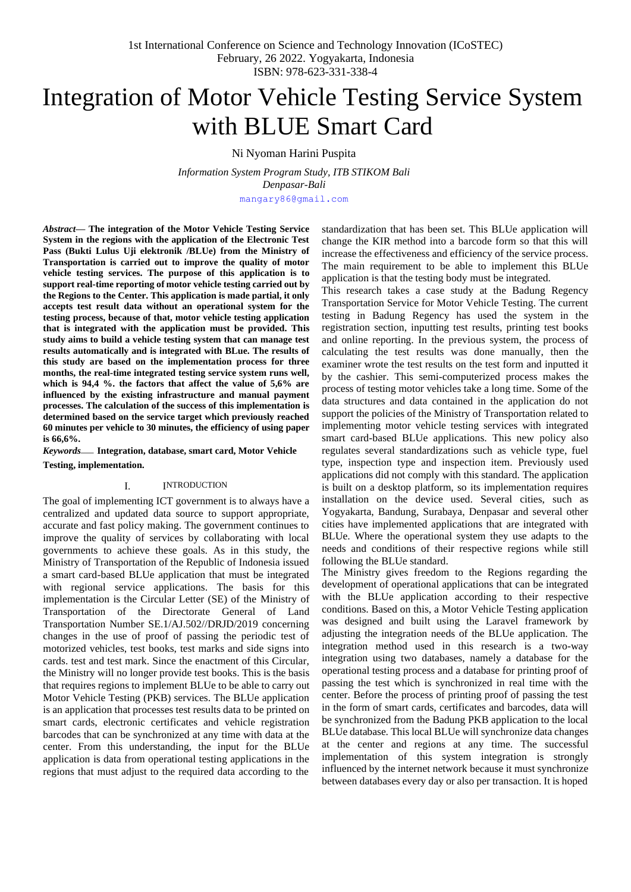# Integration of Motor Vehicle Testing Service System with BLUE Smart Card

Ni Nyoman Harini Puspita

*Information System Program Study, ITB STIKOM Bali Denpasar-Bali*

[mangary86@gmail.com](mailto:mangary86@gmail.com)

*Abstract***— The integration of the Motor Vehicle Testing Service System in the regions with the application of the Electronic Test Pass (Bukti Lulus Uji elektronik /BLUe) from the Ministry of Transportation is carried out to improve the quality of motor vehicle testing services. The purpose of this application is to support real-time reporting of motor vehicle testing carried out by the Regions to the Center. This application is made partial, it only accepts test result data without an operational system for the testing process, because of that, motor vehicle testing application that is integrated with the application must be provided. This study aims to build a vehicle testing system that can manage test results automatically and is integrated with BLue. The results of this study are based on the implementation process for three months, the real-time integrated testing service system runs well, which is 94,4 %. the factors that affect the value of 5,6% are influenced by the existing infrastructure and manual payment processes. The calculation of the success of this implementation is determined based on the service target which previously reached 60 minutes per vehicle to 30 minutes, the efficiency of using paper is 66,6%.**

*Keywords*— **Integration, database, smart card, Motor Vehicle Testing, implementation.**

## I. INTRODUCTION

The goal of implementing ICT government is to always have a centralized and updated data source to support appropriate, accurate and fast policy making. The government continues to improve the quality of services by collaborating with local governments to achieve these goals. As in this study, the Ministry of Transportation of the Republic of Indonesia issued a smart card-based BLUe application that must be integrated with regional service applications. The basis for this implementation is the Circular Letter (SE) of the Ministry of Transportation of the Directorate General of Land Transportation Number SE.1/AJ.502//DRJD/2019 concerning changes in the use of proof of passing the periodic test of motorized vehicles, test books, test marks and side signs into cards. test and test mark. Since the enactment of this Circular, the Ministry will no longer provide test books. This is the basis that requires regions to implement BLUe to be able to carry out Motor Vehicle Testing (PKB) services. The BLUe application is an application that processes test results data to be printed on smart cards, electronic certificates and vehicle registration barcodes that can be synchronized at any time with data at the center. From this understanding, the input for the BLUe application is data from operational testing applications in the regions that must adjust to the required data according to the standardization that has been set. This BLUe application will change the KIR method into a barcode form so that this will increase the effectiveness and efficiency of the service process. The main requirement to be able to implement this BLUe application is that the testing body must be integrated.

This research takes a case study at the Badung Regency Transportation Service for Motor Vehicle Testing. The current testing in Badung Regency has used the system in the registration section, inputting test results, printing test books and online reporting. In the previous system, the process of calculating the test results was done manually, then the examiner wrote the test results on the test form and inputted it by the cashier. This semi-computerized process makes the process of testing motor vehicles take a long time. Some of the data structures and data contained in the application do not support the policies of the Ministry of Transportation related to implementing motor vehicle testing services with integrated smart card-based BLUe applications. This new policy also regulates several standardizations such as vehicle type, fuel type, inspection type and inspection item. Previously used applications did not comply with this standard. The application is built on a desktop platform, so its implementation requires installation on the device used. Several cities, such as Yogyakarta, Bandung, Surabaya, Denpasar and several other cities have implemented applications that are integrated with BLUe. Where the operational system they use adapts to the needs and conditions of their respective regions while still following the BLUe standard.

The Ministry gives freedom to the Regions regarding the development of operational applications that can be integrated with the BLUe application according to their respective conditions. Based on this, a Motor Vehicle Testing application was designed and built using the Laravel framework by adjusting the integration needs of the BLUe application. The integration method used in this research is a two-way integration using two databases, namely a database for the operational testing process and a database for printing proof of passing the test which is synchronized in real time with the center. Before the process of printing proof of passing the test in the form of smart cards, certificates and barcodes, data will be synchronized from the Badung PKB application to the local BLUe database. This local BLUe will synchronize data changes at the center and regions at any time. The successful implementation of this system integration is strongly influenced by the internet network because it must synchronize between databases every day or also per transaction. It is hoped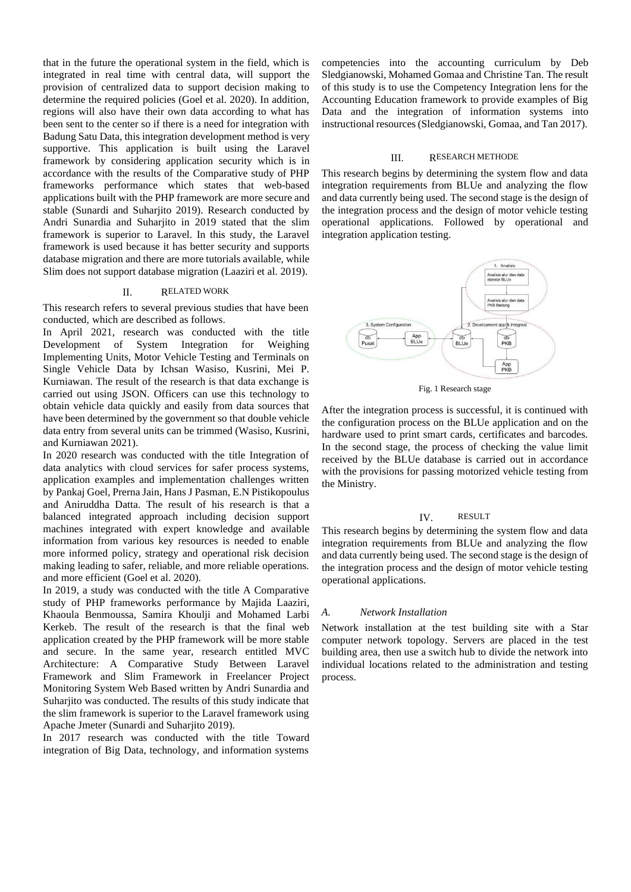that in the future the operational system in the field, which is integrated in real time with central data, will support the provision of centralized data to support decision making to determine the required policies (Goel et al. 2020). In addition, regions will also have their own data according to what has been sent to the center so if there is a need for integration with Badung Satu Data, this integration development method is very supportive. This application is built using the Laravel framework by considering application security which is in accordance with the results of the Comparative study of PHP frameworks performance which states that web-based applications built with the PHP framework are more secure and stable (Sunardi and Suharjito 2019). Research conducted by Andri Sunardia and Suharjito in 2019 stated that the slim framework is superior to Laravel. In this study, the Laravel framework is used because it has better security and supports database migration and there are more tutorials available, while Slim does not support database migration (Laaziri et al. 2019).

### II. RELATED WORK

This research refers to several previous studies that have been conducted, which are described as follows.

In April 2021, research was conducted with the title Development of System Integration for Weighing Implementing Units, Motor Vehicle Testing and Terminals on Single Vehicle Data by Ichsan Wasiso, Kusrini, Mei P. Kurniawan. The result of the research is that data exchange is carried out using JSON. Officers can use this technology to obtain vehicle data quickly and easily from data sources that have been determined by the government so that double vehicle data entry from several units can be trimmed (Wasiso, Kusrini, and Kurniawan 2021).

In 2020 research was conducted with the title Integration of data analytics with cloud services for safer process systems, application examples and implementation challenges written by Pankaj Goel, Prerna Jain, Hans J Pasman, E.N Pistikopoulus and Aniruddha Datta. The result of his research is that a balanced integrated approach including decision support machines integrated with expert knowledge and available information from various key resources is needed to enable more informed policy, strategy and operational risk decision making leading to safer, reliable, and more reliable operations. and more efficient (Goel et al. 2020).

In 2019, a study was conducted with the title A Comparative study of PHP frameworks performance by Majida Laaziri, Khaoula Benmoussa, Samira Khoulji and Mohamed Larbi Kerkeb. The result of the research is that the final web application created by the PHP framework will be more stable and secure. In the same year, research entitled MVC Architecture: A Comparative Study Between Laravel Framework and Slim Framework in Freelancer Project Monitoring System Web Based written by Andri Sunardia and Suharjito was conducted. The results of this study indicate that the slim framework is superior to the Laravel framework using Apache Jmeter (Sunardi and Suhariito 2019).

In 2017 research was conducted with the title Toward integration of Big Data, technology, and information systems competencies into the accounting curriculum by Deb Sledgianowski, Mohamed Gomaa and Christine Tan. The result of this study is to use the Competency Integration lens for the Accounting Education framework to provide examples of Big Data and the integration of information systems into instructional resources(Sledgianowski, Gomaa, and Tan 2017).

## III. RESEARCH METHODE

This research begins by determining the system flow and data integration requirements from BLUe and analyzing the flow and data currently being used. The second stage is the design of the integration process and the design of motor vehicle testing operational applications. Followed by operational and integration application testing.



Fig. 1 Research stage

After the integration process is successful, it is continued with the configuration process on the BLUe application and on the hardware used to print smart cards, certificates and barcodes. In the second stage, the process of checking the value limit received by the BLUe database is carried out in accordance with the provisions for passing motorized vehicle testing from the Ministry.

## IV. RESULT

This research begins by determining the system flow and data integration requirements from BLUe and analyzing the flow and data currently being used. The second stage is the design of the integration process and the design of motor vehicle testing operational applications.

#### *A. Network Installation*

Network installation at the test building site with a Star computer network topology. Servers are placed in the test building area, then use a switch hub to divide the network into individual locations related to the administration and testing process.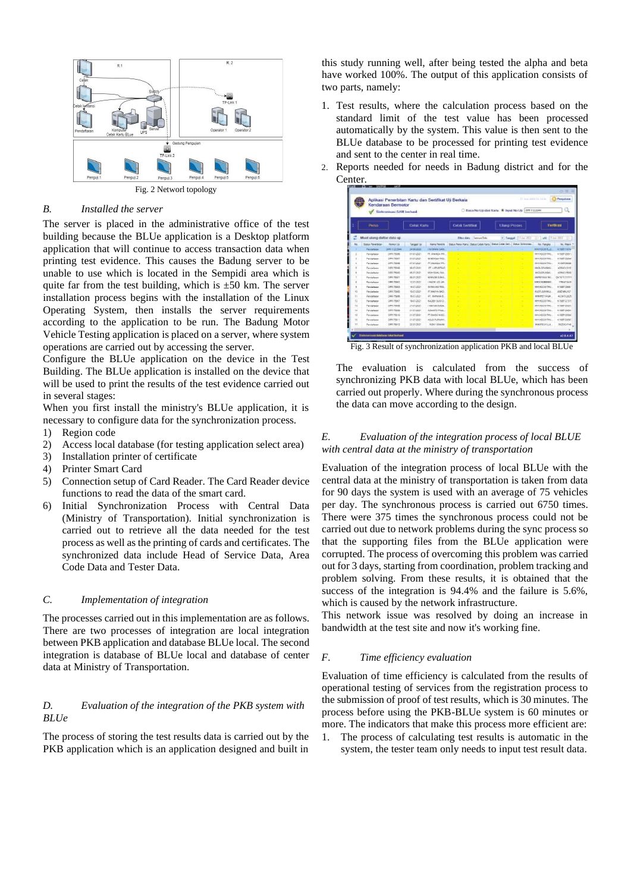

Fig. 2 Networl topology

## *B. Installed the server*

The server is placed in the administrative office of the test building because the BLUe application is a Desktop platform application that will continue to access transaction data when printing test evidence. This causes the Badung server to be unable to use which is located in the Sempidi area which is quite far from the test building, which is  $\pm 50$  km. The server installation process begins with the installation of the Linux Operating System, then installs the server requirements according to the application to be run. The Badung Motor Vehicle Testing application is placed on a server, where system operations are carried out by accessing the server.

Configure the BLUe application on the device in the Test Building. The BLUe application is installed on the device that will be used to print the results of the test evidence carried out in several stages:

When you first install the ministry's BLUe application, it is necessary to configure data for the synchronization process.

- 1) Region code
- 2) Access local database (for testing application select area)
- 3) Installation printer of certificate
- 4) Printer Smart Card
- 5) Connection setup of Card Reader. The Card Reader device functions to read the data of the smart card.
- 6) Initial Synchronization Process with Central Data (Ministry of Transportation). Initial synchronization is carried out to retrieve all the data needed for the test process as well as the printing of cards and certificates. The synchronized data include Head of Service Data, Area Code Data and Tester Data.

## *C. Implementation of integration*

The processes carried out in this implementation are as follows. There are two processes of integration are local integration between PKB application and database BLUe local. The second integration is database of BLUe local and database of center data at Ministry of Transportation.

# *D. Evaluation of the integration of the PKB system with BLUe*

The process of storing the test results data is carried out by the PKB application which is an application designed and built in this study running well, after being tested the alpha and beta have worked 100%. The output of this application consists of two parts, namely:

1. Test results, where the calculation process based on the standard limit of the test value has been processed automatically by the system. This value is then sent to the BLUe database to be processed for printing test evidence and sent to the center in real time. 2. Reports needed for needs in Badung district and for the

|              |                            | Kendaraan Bermotor<br>Sinkropisasi SAM berhasil |                  | Aplikasi Penerbitan Kartu dan Sertifikat Uji Berkala |                         |                                 | C Bass No US dari Karla @ Woot No US 1998 102044                        |              | 11. Ing Jun 14. 12. M.      | 中田田<br>Pergutase    |
|--------------|----------------------------|-------------------------------------------------|------------------|------------------------------------------------------|-------------------------|---------------------------------|-------------------------------------------------------------------------|--------------|-----------------------------|---------------------|
|              | Perso                      |                                                 | Cetak Kartu      |                                                      | <b>Catak Sertifical</b> |                                 | <b><i><u>Ulang Proses</u></i></b>                                       |              |                             | Vertüren            |
|              | Muat ulang dattar data uji |                                                 |                  |                                                      |                         | <b>Ellier data</b> Service Data | * Tangel                                                                | T11.044 2012 | are IT (a) 2022<br>$12 - 1$ |                     |
|              | Status Penerkiton          | <b>Florence (12)</b>                            | Torontilli       | <b>Nema Pensilik</b>                                 |                         |                                 | Siska Peno Kerk: Saka Catal Kerk: Statut Catal Sait., Statut Smirrangs. |              | No. Fanglio                 | No Mason 4          |
|              | Dendelserie                | <b>DIRT TITISBAK</b>                            | 34-86-3028       | <b>ENVOIDABLE SAID</b>                               |                         |                                 |                                                                         |              | <b>MHHOC61TLIZ</b>          | 6758711674          |
|              | Flendahase                 | <b>DIRT 750M</b>                                | 03.03.2021       | PT. ANAMOA PIE.                                      |                         |                                 |                                                                         |              | <b>MHINDOSTBUL</b>          | ATRETT2657          |
| $\mathbb{R}$ | Paridatesen                | <b>SPR PMRT</b>                                 | 81,81,2021       | 19 MINUAL RID                                        |                         |                                 |                                                                         |              | MHVKOCETBEL                 | <b>ATRETTZINA</b>   |
| ٠            | Persistence                | <b>DR4: 76844</b>                               | 25 25 2021       | <b>PT ANARCH PR.</b>                                 |                         |                                 |                                                                         |              | MANODETRAL                  | KISET26508          |
| 1            | Pendelsean                 | 544 75598                                       | 08-07-0021       | FT.LON/STRAD                                         |                         |                                 |                                                                         |              | MICLOFIZIBIL                | 4268012150          |
|              | <b>Denishaten</b>          | neo maté                                        | 06-07-2021       | MONTANCI MA                                          |                         |                                 |                                                                         |              | MACTERIZATION !             | 4056C45300          |
|              | Pandaharan                 | 209.79801                                       | 08-81-2021       | IS MADE DUMA                                         |                         |                                 |                                                                         |              | MICHETAGLI TM.L             | pessitziarri        |
|              | Panishelan                 | <b>SPR WIRD</b>                                 | 10.81.2021       | <b><i>LINER ADLAR</i></b>                            |                         |                                 |                                                                         |              | <b>MAGESWERHERE</b>         | <b>TRACTACH</b>     |
| ٠            | Fendelseen                 | <b>DAR 19803</b>                                | 14.87.0021       | tel MalufAlo Skind.                                  |                         |                                 |                                                                         |              | ShinkDOCKTRAL               | ensimbles           |
| 12           | Paidelasse                 | has years                                       | 1547-0021        | <b>PT AWFVA BAD</b>                                  |                         |                                 |                                                                         |              | <b>MJEFLAJHHALL</b>         | JOBEWHU 107         |
| $\mathbb{N}$ | Pentahase                  | DOG 75516                                       | <b>MLE7-2021</b> | IT, WANNAIL                                          |                         |                                 |                                                                         |              | MHRETIDGAL                  | KOSKTIGKZE          |
| tz           | Pentahase                  | DIR 76907                                       | 1947-2021        | KADEK SUSID.                                         |                         |                                 |                                                                         |              | <b>MHVHOCSTBALL</b>         | <b>ATREES ETHIC</b> |
| 11           | Parchelsean                | <b>DRA TRAIN</b>                                | 21,23,2021       | FINANCISCO                                           |                         |                                 |                                                                         |              | MHHKOCETTIEL                | ATMENTARY.          |
| u            | Fernisheren                | <b>DAK 76MW</b>                                 | 2143,0021        | ADMATO PAUL                                          |                         |                                 |                                                                         |              | MHVOCKTRU.                  | ATENTY2656          |
| 唁            | Pandalunin                 | 1997/8918                                       | 2147-0021        | PT SenSS MSC                                         |                         |                                 |                                                                         |              | <b>AIHVIOCO/TINU</b>        | A1587125900         |
| w            | <b>Paristehoran</b>        | 1999 799 11                                     | 21413021         | AQUIS PURNAME                                        |                         |                                 |                                                                         |              | KINVINDOSITBAJ.             | A10821205E          |
|              |                            |                                                 |                  |                                                      |                         |                                 |                                                                         |              |                             |                     |

Fig. 3 Result of synchronization application PKB and local BLUe

The evaluation is calculated from the success of synchronizing PKB data with local BLUe, which has been carried out properly. Where during the synchronous process the data can move according to the design.

# *E. Evaluation of the integration process of local BLUE with central data at the ministry of transportation*

Evaluation of the integration process of local BLUe with the central data at the ministry of transportation is taken from data for 90 days the system is used with an average of 75 vehicles per day. The synchronous process is carried out 6750 times. There were 375 times the synchronous process could not be carried out due to network problems during the sync process so that the supporting files from the BLUe application were corrupted. The process of overcoming this problem was carried out for 3 days, starting from coordination, problem tracking and problem solving. From these results, it is obtained that the success of the integration is 94.4% and the failure is 5.6%, which is caused by the network infrastructure.

This network issue was resolved by doing an increase in bandwidth at the test site and now it's working fine.

# *F. Time efficiency evaluation*

Evaluation of time efficiency is calculated from the results of operational testing of services from the registration process to the submission of proof of test results, which is 30 minutes. The process before using the PKB-BLUe system is 60 minutes or more. The indicators that make this process more efficient are:

1. The process of calculating test results is automatic in the system, the tester team only needs to input test result data.